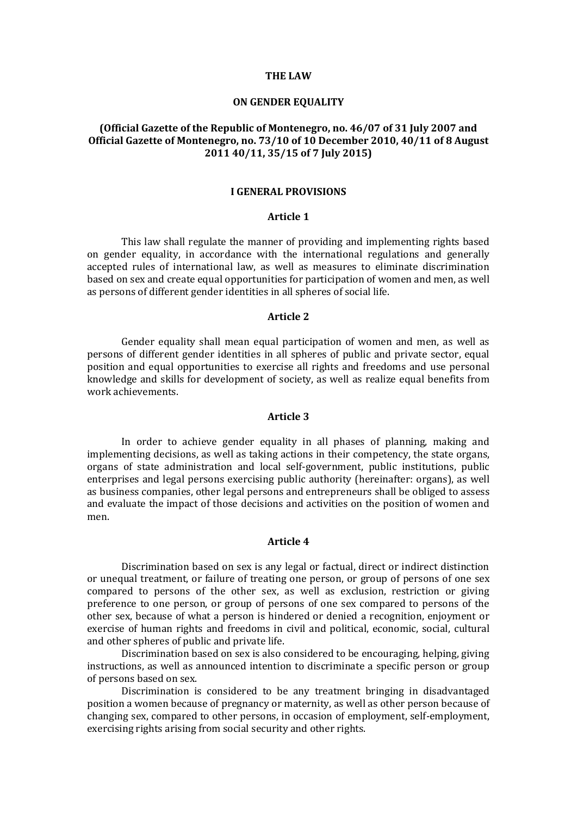#### **THE LAW**

### **ON GENDER EQUALITY**

# **(Official Gazette of the Republic of Montenegro, no. 46/07 of 31 July 2007 and Official Gazette of Montenegro, no. 73/10 of 10 December 2010, 40/11 of 8 August 2011 40/11, 35/15 of 7 July 2015)**

### **I GENERAL PROVISIONS**

#### **Article 1**

This law shall regulate the manner of providing and implementing rights based on gender equality, in accordance with the international regulations and generally accepted rules of international law, as well as measures to eliminate discrimination based on sex and create equal opportunities for participation of women and men, as well as persons of different gender identities in all spheres of social life.

## **Article 2**

Gender equality shall mean equal participation of women and men, as well as persons of different gender identities in all spheres of public and private sector, equal position and equal opportunities to exercise all rights and freedoms and use personal knowledge and skills for development of society, as well as realize equal benefits from work achievements.

### **Article 3**

In order to achieve gender equality in all phases of planning, making and implementing decisions, as well as taking actions in their competency, the state organs, organs of state administration and local self-government, public institutions, public enterprises and legal persons exercising public authority (hereinafter: organs), as well as business companies, other legal persons and entrepreneurs shall be obliged to assess and evaluate the impact of those decisions and activities on the position of women and men.

## **Article 4**

Discrimination based on sex is any legal or factual, direct or indirect distinction or unequal treatment, or failure of treating one person, or group of persons of one sex compared to persons of the other sex, as well as exclusion, restriction or giving preference to one person, or group of persons of one sex compared to persons of the other sex, because of what a person is hindered or denied a recognition, enjoyment or exercise of human rights and freedoms in civil and political, economic, social, cultural and other spheres of public and private life.

Discrimination based on sex is also considered to be encouraging, helping, giving instructions, as well as announced intention to discriminate a specific person or group of persons based on sex.

Discrimination is considered to be any treatment bringing in disadvantaged position a women because of pregnancy or maternity, as well as other person because of changing sex, compared to other persons, in occasion of employment, self-employment, exercising rights arising from social security and other rights.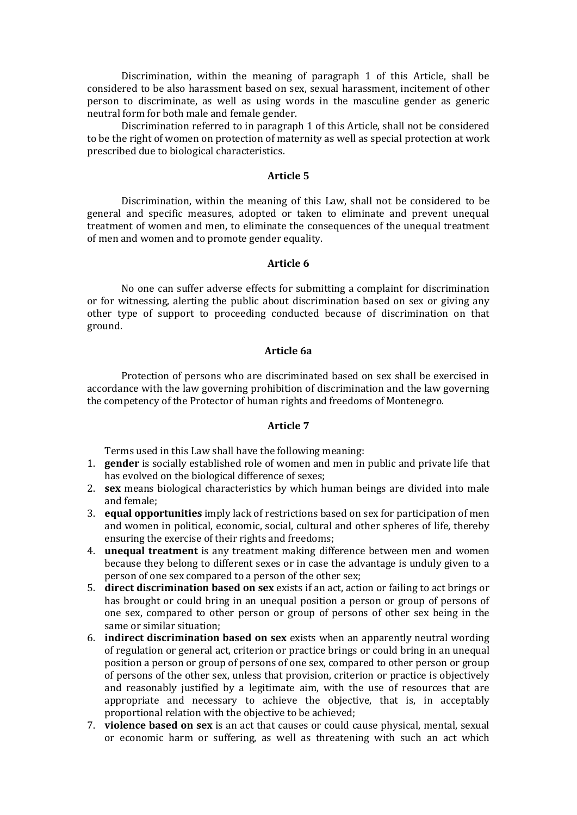Discrimination, within the meaning of paragraph 1 of this Article, shall be considered to be also harassment based on sex, sexual harassment, incitement of other person to discriminate, as well as using words in the masculine gender as generic neutral form for both male and female gender.

Discrimination referred to in paragraph 1 of this Article, shall not be considered to be the right of women on protection of maternity as well as special protection at work prescribed due to biological characteristics.

## **Article 5**

Discrimination, within the meaning of this Law, shall not be considered to be general and specific measures, adopted or taken to eliminate and prevent unequal treatment of women and men, to eliminate the consequences of the unequal treatment of men and women and to promote gender equality.

## **Article 6**

No one can suffer adverse effects for submitting a complaint for discrimination or for witnessing, alerting the public about discrimination based on sex or giving any other type of support to proceeding conducted because of discrimination on that ground.

## **Article 6a**

Protection of persons who are discriminated based on sex shall be exercised in accordance with the law governing prohibition of discrimination and the law governing the competency of the Protector of human rights and freedoms of Montenegro.

#### **Article 7**

Terms used in this Law shall have the following meaning:

- 1. **gender** is socially established role of women and men in public and private life that has evolved on the biological difference of sexes;
- 2. **sex** means biological characteristics by which human beings are divided into male and female;
- 3. **equal opportunities** imply lack of restrictions based on sex for participation of men and women in political, economic, social, cultural and other spheres of life, thereby ensuring the exercise of their rights and freedoms;
- 4. **unequal treatment** is any treatment making difference between men and women because they belong to different sexes or in case the advantage is unduly given to a person of one sex compared to a person of the other sex;
- 5. **direct discrimination based on sex** exists if an act, action or failing to act brings or has brought or could bring in an unequal position a person or group of persons of one sex, compared to other person or group of persons of other sex being in the same or similar situation;
- 6. **indirect discrimination based on sex** exists when an apparently neutral wording of regulation or general act, criterion or practice brings or could bring in an unequal position a person or group of persons of one sex, compared to other person or group of persons of the other sex, unless that provision, criterion or practice is objectively and reasonably justified by a legitimate aim, with the use of resources that are appropriate and necessary to achieve the objective, that is, in acceptably proportional relation with the objective to be achieved;
- 7. **violence based on sex** is an act that causes or could cause physical, mental, sexual or economic harm or suffering, as well as threatening with such an act which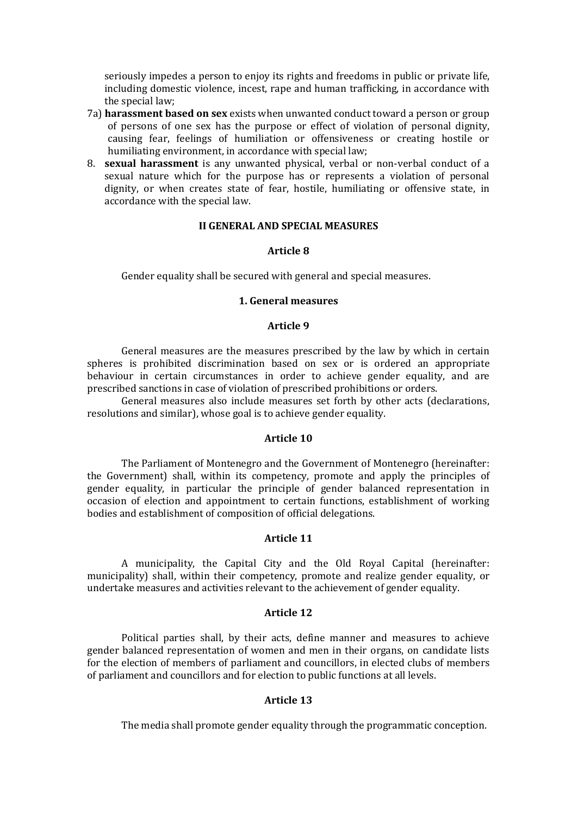seriously impedes a person to enjoy its rights and freedoms in public or private life, including domestic violence, incest, rape and human trafficking, in accordance with the special law;

- 7a) **harassment based on sex** exists when unwanted conduct toward a person or group of persons of one sex has the purpose or effect of violation of personal dignity, causing fear, feelings of humiliation or offensiveness or creating hostile or humiliating environment, in accordance with special law;
- 8. **sexual harassment** is any unwanted physical, verbal or non-verbal conduct of a sexual nature which for the purpose has or represents a violation of personal dignity, or when creates state of fear, hostile, humiliating or offensive state, in accordance with the special law.

### **II GENERAL AND SPECIAL MEASURES**

### **Article 8**

Gender equality shall be secured with general and special measures.

### **1. General measures**

### **Article 9**

General measures are the measures prescribed by the law by which in certain spheres is prohibited discrimination based on sex or is ordered an appropriate behaviour in certain circumstances in order to achieve gender equality, and are prescribed sanctions in case of violation of prescribed prohibitions or orders.

General measures also include measures set forth by other acts (declarations, resolutions and similar), whose goal is to achieve gender equality.

### **Article 10**

The Parliament of Montenegro and the Government of Montenegro (hereinafter: the Government) shall, within its competency, promote and apply the principles of gender equality, in particular the principle of gender balanced representation in occasion of election and appointment to certain functions, establishment of working bodies and establishment of composition of official delegations.

### **Article 11**

A municipality, the Capital City and the Old Royal Capital (hereinafter: municipality) shall, within their competency, promote and realize gender equality, or undertake measures and activities relevant to the achievement of gender equality.

## **Article 12**

Political parties shall, by their acts, define manner and measures to achieve gender balanced representation of women and men in their organs, on candidate lists for the election of members of parliament and councillors, in elected clubs of members of parliament and councillors and for election to public functions at all levels.

#### **Article 13**

The media shall promote gender equality through the programmatic conception.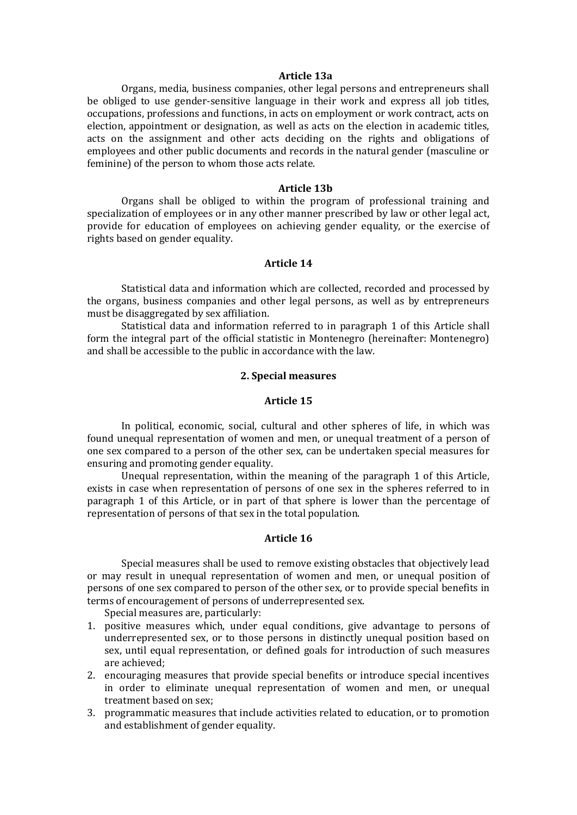#### **Article 13a**

Organs, media, business companies, other legal persons and entrepreneurs shall be obliged to use gender-sensitive language in their work and express all job titles, occupations, professions and functions, in acts on employment or work contract, acts on election, appointment or designation, as well as acts on the election in academic titles, acts on the assignment and other acts deciding on the rights and obligations of employees and other public documents and records in the natural gender (masculine or feminine) of the person to whom those acts relate.

#### **Article 13b**

Organs shall be obliged to within the program of professional training and specialization of employees or in any other manner prescribed by law or other legal act, provide for education of employees on achieving gender equality, or the exercise of rights based on gender equality.

## **Article 14**

Statistical data and information which are collected, recorded and processed by the organs, business companies and other legal persons, as well as by entrepreneurs must be disaggregated by sex affiliation.

Statistical data and information referred to in paragraph 1 of this Article shall form the integral part of the official statistic in Montenegro (hereinafter: Montenegro) and shall be accessible to the public in accordance with the law.

## **2. Special measures**

## **Article 15**

In political, economic, social, cultural and other spheres of life, in which was found unequal representation of women and men, or unequal treatment of a person of one sex compared to a person of the other sex, can be undertaken special measures for ensuring and promoting gender equality.

Unequal representation, within the meaning of the paragraph 1 of this Article, exists in case when representation of persons of one sex in the spheres referred to in paragraph 1 of this Article, or in part of that sphere is lower than the percentage of representation of persons of that sex in the total population.

#### **Article 16**

Special measures shall be used to remove existing obstacles that objectively lead or may result in unequal representation of women and men, or unequal position of persons of one sex compared to person of the other sex, or to provide special benefits in terms of encouragement of persons of underrepresented sex.

Special measures are, particularly:

- 1. positive measures which, under equal conditions, give advantage to persons of underrepresented sex, or to those persons in distinctly unequal position based on sex, until equal representation, or defined goals for introduction of such measures are achieved;
- 2. encouraging measures that provide special benefits or introduce special incentives in order to eliminate unequal representation of women and men, or unequal treatment based on sex;
- 3. programmatic measures that include activities related to education, or to promotion and establishment of gender equality.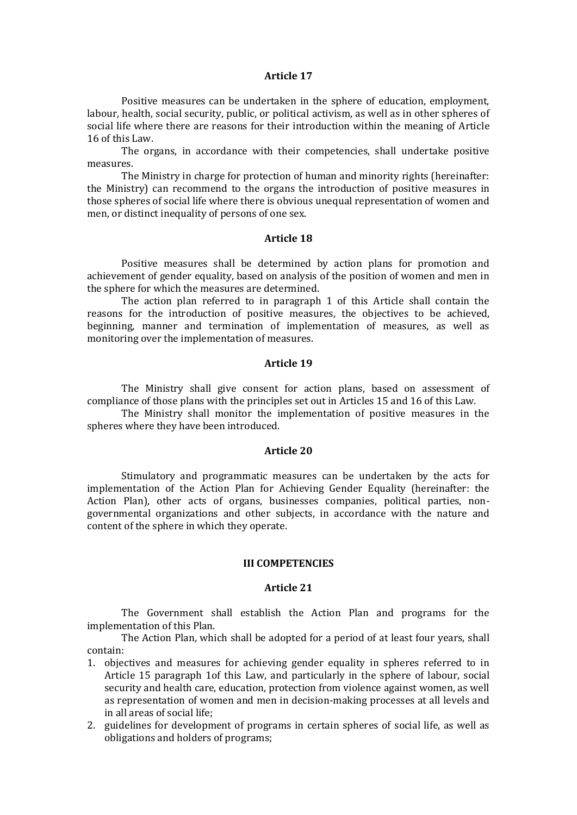#### **Article 17**

Positive measures can be undertaken in the sphere of education, employment, labour, health, social security, public, or political activism, as well as in other spheres of social life where there are reasons for their introduction within the meaning of Article 16 of this Law.

The organs, in accordance with their competencies, shall undertake positive measures.

The Ministry in charge for protection of human and minority rights (hereinafter: the Ministry) can recommend to the organs the introduction of positive measures in those spheres of social life where there is obvious unequal representation of women and men, or distinct inequality of persons of one sex.

#### **Article 18**

Positive measures shall be determined by action plans for promotion and achievement of gender equality, based on analysis of the position of women and men in the sphere for which the measures are determined.

The action plan referred to in paragraph 1 of this Article shall contain the reasons for the introduction of positive measures, the objectives to be achieved, beginning, manner and termination of implementation of measures, as well as monitoring over the implementation of measures.

#### **Article 19**

The Ministry shall give consent for action plans, based on assessment of compliance of those plans with the principles set out in Articles 15 and 16 of this Law.

The Ministry shall monitor the implementation of positive measures in the spheres where they have been introduced.

### **Article 20**

Stimulatory and programmatic measures can be undertaken by the acts for implementation of the Action Plan for Achieving Gender Equality (hereinafter: the Action Plan), other acts of organs, businesses companies, political parties, nongovernmental organizations and other subjects, in accordance with the nature and content of the sphere in which they operate.

#### **III COMPETENCIES**

## **Article 21**

The Government shall establish the Action Plan and programs for the implementation of this Plan.

The Action Plan, which shall be adopted for a period of at least four years, shall contain:

- 1. objectives and measures for achieving gender equality in spheres referred to in Article 15 paragraph 1of this Law, and particularly in the sphere of labour, social security and health care, education, protection from violence against women, as well as representation of women and men in decision-making processes at all levels and in all areas of social life;
- 2. guidelines for development of programs in certain spheres of social life, as well as obligations and holders of programs;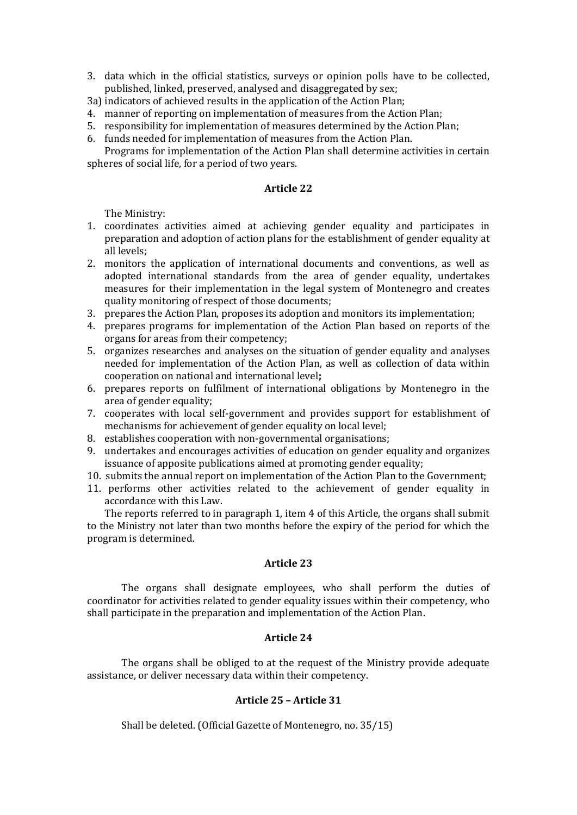- 3. data which in the official statistics, surveys or opinion polls have to be collected, published, linked, preserved, analysed and disaggregated by sex;
- 3a) indicators of achieved results in the application of the Action Plan;
- 4. manner of reporting on implementation of measures from the Action Plan;
- 5. responsibility for implementation of measures determined by the Action Plan;
- 6. funds needed for implementation of measures from the Action Plan.

Programs for implementation of the Action Plan shall determine activities in certain spheres of social life, for a period of two years.

## **Article 22**

The Ministry:

- 1. coordinates activities aimed at achieving gender equality and participates in preparation and adoption of action plans for the establishment of gender equality at all levels;
- 2. monitors the application of international documents and conventions, as well as adopted international standards from the area of gender equality, undertakes measures for their implementation in the legal system of Montenegro and creates quality monitoring of respect of those documents;
- 3. prepares the Action Plan, proposes its adoption and monitors its implementation;
- 4. prepares programs for implementation of the Action Plan based on reports of the organs for areas from their competency;
- 5. organizes researches and analyses on the situation of gender equality and analyses needed for implementation of the Action Plan, as well as collection of data within cooperation on national and international level**;**
- 6. prepares reports on fulfilment of international obligations by Montenegro in the area of gender equality;
- 7. cooperates with local self-government and provides support for establishment of mechanisms for achievement of gender equality on local level;
- 8. establishes cooperation with non-governmental organisations;
- 9. undertakes and encourages activities of education on gender equality and organizes issuance of apposite publications aimed at promoting gender equality;
- 10. submits the annual report on implementation of the Action Plan to the Government;
- 11. performs other activities related to the achievement of gender equality in accordance with this Law.

The reports referred to in paragraph 1, item 4 of this Article, the organs shall submit to the Ministry not later than two months before the expiry of the period for which the program is determined.

## **Article 23**

The organs shall designate employees, who shall perform the duties of coordinator for activities related to gender equality issues within their competency, who shall participate in the preparation and implementation of the Action Plan.

## **Article 24**

The organs shall be obliged to at the request of the Ministry provide adequate assistance, or deliver necessary data within their competency.

# **Article 25 – Article 31**

Shall be deleted. (Official Gazette of Montenegro, no. 35/15)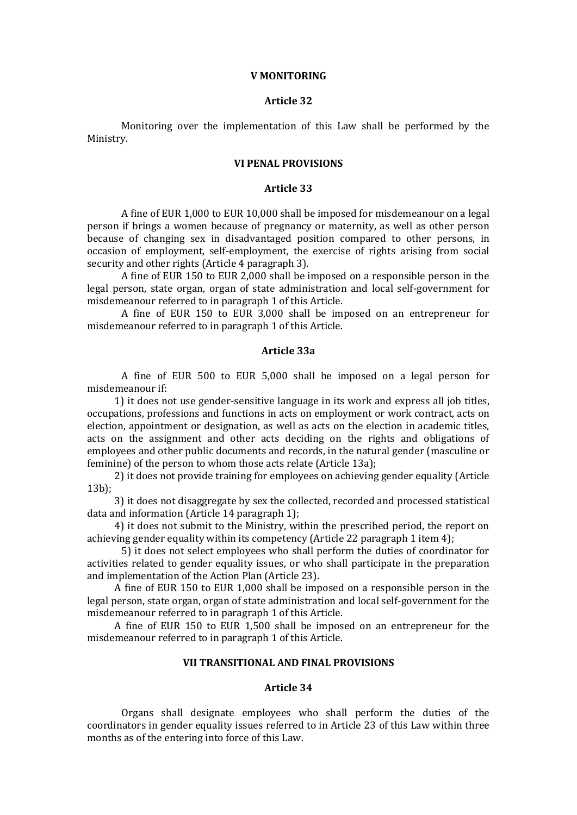#### **V MONITORING**

## **Article 32**

Monitoring over the implementation of this Law shall be performed by the Ministry.

### **VI PENAL PROVISIONS**

### **Article 33**

A fine of EUR 1,000 to EUR 10,000 shall be imposed for misdemeanour on a legal person if brings a women because of pregnancy or maternity, as well as other person because of changing sex in disadvantaged position compared to other persons, in occasion of employment, self-employment, the exercise of rights arising from social security and other rights (Article 4 paragraph 3).

A fine of EUR 150 to EUR 2,000 shall be imposed on a responsible person in the legal person, state organ, organ of state administration and local self-government for misdemeanour referred to in paragraph 1 of this Article.

A fine of EUR 150 to EUR 3,000 shall be imposed on an entrepreneur for misdemeanour referred to in paragraph 1 of this Article.

### **Article 33a**

A fine of EUR 500 to EUR 5,000 shall be imposed on a legal person for misdemeanour if:

1) it does not use gender-sensitive language in its work and express all job titles, occupations, professions and functions in acts on employment or work contract, acts on election, appointment or designation, as well as acts on the election in academic titles, acts on the assignment and other acts deciding on the rights and obligations of employees and other public documents and records, in the natural gender (masculine or feminine) of the person to whom those acts relate (Article 13a);

2) it does not provide training for employees on achieving gender equality (Article 13b);

3) it does not disaggregate by sex the collected, recorded and processed statistical data and information (Article 14 paragraph 1);

4) it does not submit to the Ministry, within the prescribed period, the report on achieving gender equality within its competency (Article 22 paragraph 1 item 4);

5) it does not select employees who shall perform the duties of coordinator for activities related to gender equality issues, or who shall participate in the preparation and implementation of the Action Plan (Article 23).

A fine of EUR 150 to EUR 1,000 shall be imposed on a responsible person in the legal person, state organ, organ of state administration and local self-government for the misdemeanour referred to in paragraph 1 of this Article.

A fine of EUR 150 to EUR 1,500 shall be imposed on an entrepreneur for the misdemeanour referred to in paragraph 1 of this Article.

## **VII TRANSITIONAL AND FINAL PROVISIONS**

### **Article 34**

Organs shall designate employees who shall perform the duties of the coordinators in gender equality issues referred to in Article 23 of this Law within three months as of the entering into force of this Law.